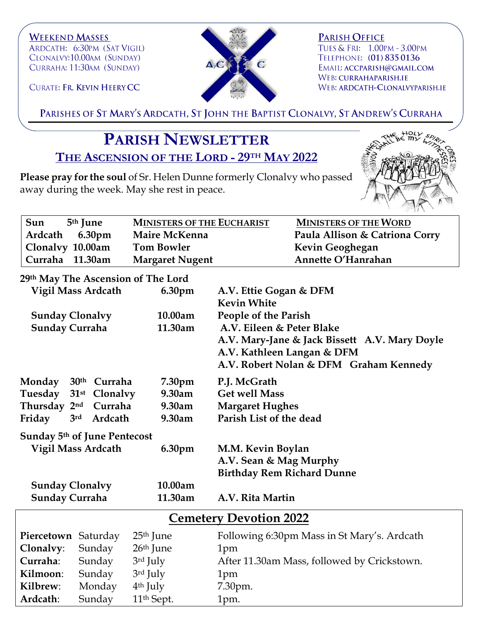



**PARISH OFFICE** TUES & FRI: 1.00PM - 3.00PM TELEPHONE: (01) 835 0136 EMAIL: ACCPARISH@GMAIL.COM WEB: CURRAHAPARISH.IE WEB: ARDCATH-CLONALVYPARISH.IE

CURATE: FR. KEVIN HEERY CC

PARISHES OF ST MARY'S ARDCATH, ST JOHN THE BAPTIST CLONALVY, ST ANDREW'S CURRAHA

## **PARISH NEWSLETTER THE ASCENSION OF THE LORD - 29TH MAY 2022**

**Please pray for the soul** of Sr. Helen Dunne formerly Clonalvy who passed away during the week. May she rest in peace.



| Sun<br>5 <sup>th</sup> June | <b>MINISTERS OF THE EUCHARIST</b> | <b>MINISTERS OF THE WORD</b>   |
|-----------------------------|-----------------------------------|--------------------------------|
| Ardcath 6.30pm              | Maire McKenna                     | Paula Allison & Catriona Corry |
| Clonalvy 10.00am            | <b>Tom Bowler</b>                 | Kevin Geoghegan                |
| ' Curraha 11.30am           | <b>Margaret Nugent</b>            | Annette O'Hanrahan             |

## **29th May The Ascension of The Lord**

|                                          | <b>Vigil Mass Ardcath</b>  | 6.30pm                 | A.V. Ettie Gogan & DFM<br><b>Kevin White</b>  |  |
|------------------------------------------|----------------------------|------------------------|-----------------------------------------------|--|
| <b>Sunday Clonalvy</b>                   |                            | 10.00am                | People of the Parish                          |  |
| <b>Sunday Curraha</b>                    |                            | 11.30am                | A.V. Eileen & Peter Blake                     |  |
|                                          |                            |                        | A.V. Mary-Jane & Jack Bissett A.V. Mary Doyle |  |
|                                          |                            |                        | A.V. Kathleen Langan & DFM                    |  |
|                                          |                            |                        | A.V. Robert Nolan & DFM Graham Kennedy        |  |
| Monday                                   | 30 <sup>th</sup> Curraha   | 7.30pm                 | P.J. McGrath                                  |  |
| Tuesday                                  | 31 <sup>st</sup> Clonalvy  | 9.30am                 | <b>Get well Mass</b>                          |  |
| Thursday 2nd Curraha                     |                            | 9.30am                 | <b>Margaret Hughes</b>                        |  |
| Friday                                   | 3 <sup>rd</sup><br>Ardcath | 9.30am                 | Parish List of the dead                       |  |
| Sunday 5 <sup>th</sup> of June Pentecost |                            |                        |                                               |  |
| <b>Vigil Mass Ardcath</b><br>6.30pm      |                            |                        | M.M. Kevin Boylan                             |  |
|                                          |                            |                        | A.V. Sean & Mag Murphy                        |  |
|                                          |                            |                        | <b>Birthday Rem Richard Dunne</b>             |  |
| <b>Sunday Clonalvy</b><br>10.00am        |                            |                        |                                               |  |
| Sunday Curraha                           |                            | 11.30am                | A.V. Rita Martin                              |  |
| <b>Cemetery Devotion 2022</b>            |                            |                        |                                               |  |
| Piercetown Saturday                      |                            | $25th$ June            | Following 6:30pm Mass in St Mary's. Ardcath   |  |
| Clonalvy:                                | Sunday                     | 26 <sup>th</sup> June  | 1pm                                           |  |
| Curraha:                                 | Sunday                     | 3rd July               | After 11.30am Mass, followed by Crickstown.   |  |
| Kilmoon:                                 | Sunday                     | 3rd July               | 1pm                                           |  |
| Kilbrew:                                 | Monday                     | $4th$ July             | 7.30pm.                                       |  |
| Ardcath:                                 | Sunday                     | 11 <sup>th</sup> Sept. | 1pm.                                          |  |